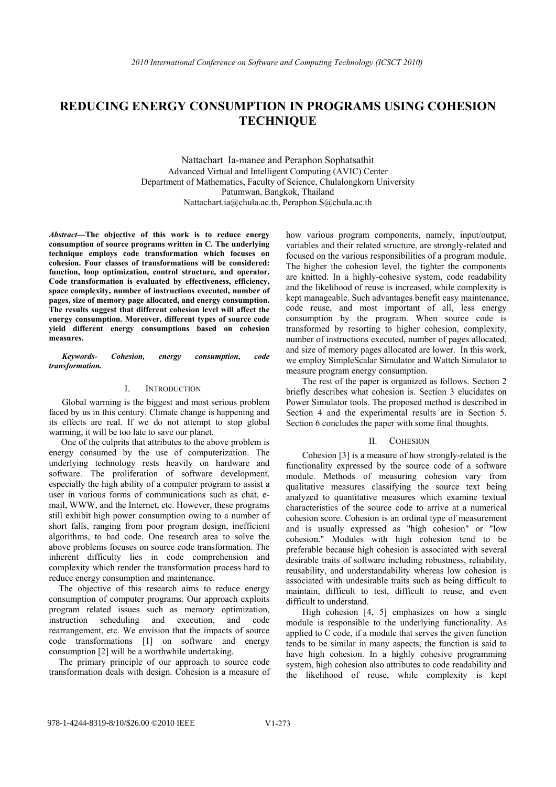# **REDUCING ENERGY CONSUMPTION IN PROGRAMS USING COHESION TECHNIQUE**

Nattachart Ia-manee and Peraphon Sophatsathit Advanced Virtual and Intelligent Computing (AVIC) Center Department of Mathematics, Faculty of Science, Chulalongkorn University Patumwan, Bangkok, Thailand Nattachart.ia@chula.ac.th, Peraphon.S@chula.ac.th

*Abstract***—The objective of this work is to reduce energy consumption of source programs written in C. The underlying technique employs code transformation which focuses on cohesion. Four classes of transformations will be considered: function, loop optimization, control structure, and operator. Code transformation is evaluated by effectiveness, efficiency, space complexity, number of instructions executed, number of pages, size of memory page allocated, and energy consumption. The results suggest that different cohesion level will affect the energy consumption. Moreover, different types of source code yield different energy consumptions based on cohesion measures.** 

*Keywords- Cohesion, energy consumption, code transformation.* 

# I. INTRODUCTION

Global warming is the biggest and most serious problem faced by us in this century. Climate change is happening and its effects are real. If we do not attempt to stop global warming, it will be too late to save our planet.

One of the culprits that attributes to the above problem is energy consumed by the use of computerization. The underlying technology rests heavily on hardware and software. The proliferation of software development, especially the high ability of a computer program to assist a user in various forms of communications such as chat, email, WWW, and the Internet, etc. However, these programs still exhibit high power consumption owing to a number of short falls, ranging from poor program design, inefficient algorithms, to bad code. One research area to solve the above problems focuses on source code transformation. The inherent difficulty lies in code comprehension and complexity which render the transformation process hard to reduce energy consumption and maintenance.

The objective of this research aims to reduce energy consumption of computer programs. Our approach exploits program related issues such as memory optimization, instruction scheduling and execution, and code rearrangement, etc. We envision that the impacts of source code transformations [1] on software and energy consumption [2] will be a worthwhile undertaking.

The primary principle of our approach to source code transformation deals with design. Cohesion is a measure of how various program components, namely, input/output, variables and their related structure, are strongly-related and focused on the various responsibilities of a program module. The higher the cohesion level, the tighter the components are knitted. In a highly-cohesive system, code readability and the likelihood of reuse is increased, while complexity is kept manageable. Such advantages benefit easy maintenance, code reuse, and most important of all, less energy consumption by the program. When source code is transformed by resorting to higher cohesion, complexity, number of instructions executed, number of pages allocated, and size of memory pages allocated are lower. In this work, we employ SimpleScalar Simulator and Wattch Simulator to measure program energy consumption.

The rest of the paper is organized as follows. Section 2 briefly describes what cohesion is. Section 3 elucidates on Power Simulator tools. The proposed method is described in Section 4 and the experimental results are in Section 5. Section 6 concludes the paper with some final thoughts.

## II. COHESION

Cohesion [3] is a measure of how strongly-related is the functionality expressed by the source code of a software module. Methods of measuring cohesion vary from qualitative measures classifying the source text being analyzed to quantitative measures which examine textual characteristics of the source code to arrive at a numerical cohesion score. Cohesion is an ordinal type of measurement and is usually expressed as "high cohesion" or "low cohesion." Modules with high cohesion tend to be preferable because high cohesion is associated with several desirable traits of software including robustness, reliability, reusability, and understandability whereas low cohesion is associated with undesirable traits such as being difficult to maintain, difficult to test, difficult to reuse, and even difficult to understand.

High cohesion [4, 5] emphasizes on how a single module is responsible to the underlying functionality. As applied to C code, if a module that serves the given function tends to be similar in many aspects, the function is said to have high cohesion. In a highly cohesive programming system, high cohesion also attributes to code readability and the likelihood of reuse, while complexity is kept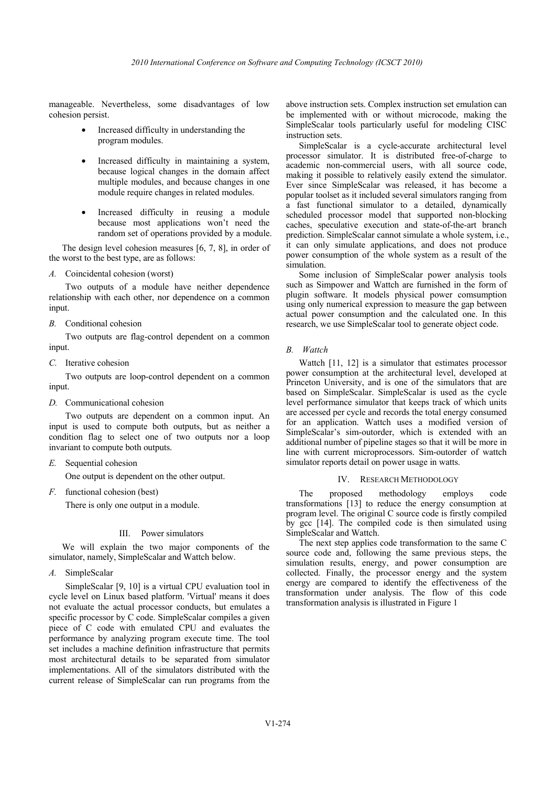manageable. Nevertheless, some disadvantages of low cohesion persist.

- Increased difficulty in understanding the program modules.
- Increased difficulty in maintaining a system, because logical changes in the domain affect multiple modules, and because changes in one module require changes in related modules.
- Increased difficulty in reusing a module because most applications won't need the random set of operations provided by a module.

The design level cohesion measures [6, 7, 8], in order of the worst to the best type, are as follows:

*A.* Coincidental cohesion (worst)

Two outputs of a module have neither dependence relationship with each other, nor dependence on a common input.

*B.* Conditional cohesion

Two outputs are flag-control dependent on a common input.

*C.* Iterative cohesion

Two outputs are loop-control dependent on a common input.

*D.* Communicational cohesion

Two outputs are dependent on a common input. An input is used to compute both outputs, but as neither a condition flag to select one of two outputs nor a loop invariant to compute both outputs.

*E.* Sequential cohesion

One output is dependent on the other output.

*F.* functional cohesion (best)

There is only one output in a module.

#### III. Power simulators

We will explain the two major components of the simulator, namely, SimpleScalar and Wattch below.

*A.* SimpleScalar

SimpleScalar [9, 10] is a virtual CPU evaluation tool in cycle level on Linux based platform. 'Virtual' means it does not evaluate the actual processor conducts, but emulates a specific processor by C code. SimpleScalar compiles a given piece of C code with emulated CPU and evaluates the performance by analyzing program execute time. The tool set includes a machine definition infrastructure that permits most architectural details to be separated from simulator implementations. All of the simulators distributed with the current release of SimpleScalar can run programs from the

above instruction sets. Complex instruction set emulation can be implemented with or without microcode, making the SimpleScalar tools particularly useful for modeling CISC instruction sets.

SimpleScalar is a cycle-accurate architectural level processor simulator. It is distributed free-of-charge to academic non-commercial users, with all source code, making it possible to relatively easily extend the simulator. Ever since SimpleScalar was released, it has become a popular toolset as it included several simulators ranging from a fast functional simulator to a detailed, dynamically scheduled processor model that supported non-blocking caches, speculative execution and state-of-the-art branch prediction. SimpleScalar cannot simulate a whole system, i.e., it can only simulate applications, and does not produce power consumption of the whole system as a result of the simulation.

Some inclusion of SimpleScalar power analysis tools such as Simpower and Wattch are furnished in the form of plugin software. It models physical power comsumption using only numerical expression to measure the gap between actual power consumption and the calculated one. In this research, we use SimpleScalar tool to generate object code.

## *B. Wattch*

Wattch [11, 12] is a simulator that estimates processor power consumption at the architectural level, developed at Princeton University, and is one of the simulators that are based on SimpleScalar. SimpleScalar is used as the cycle level performance simulator that keeps track of which units are accessed per cycle and records the total energy consumed for an application. Wattch uses a modified version of SimpleScalar's sim-outorder, which is extended with an additional number of pipeline stages so that it will be more in line with current microprocessors. Sim-outorder of wattch simulator reports detail on power usage in watts.

#### IV. RESEARCH METHODOLOGY

The proposed methodology employs code transformations [13] to reduce the energy consumption at program level. The original C source code is firstly compiled by gcc [14]. The compiled code is then simulated using SimpleScalar and Wattch.

The next step applies code transformation to the same C source code and, following the same previous steps, the simulation results, energy, and power consumption are collected. Finally, the processor energy and the system energy are compared to identify the effectiveness of the transformation under analysis. The flow of this code transformation analysis is illustrated in Figure 1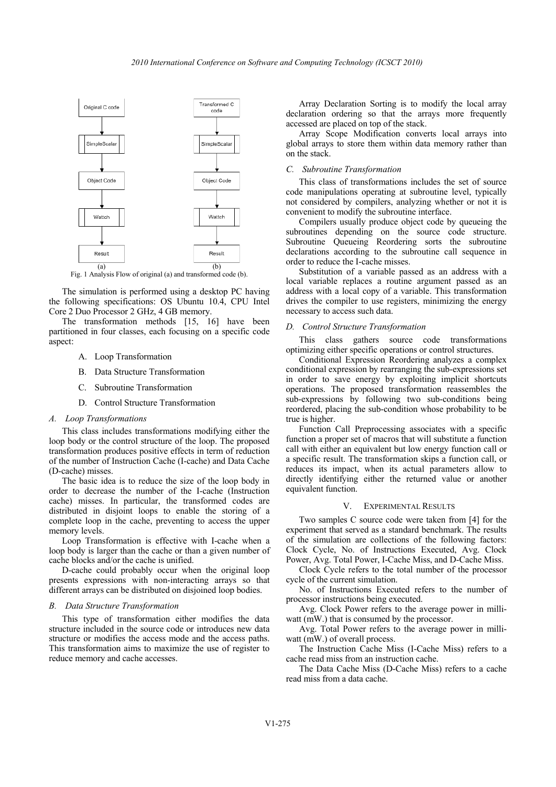

The simulation is performed using a desktop PC having the following specifications: OS Ubuntu 10.4, CPU Intel Core 2 Duo Processor 2 GHz, 4 GB memory.

The transformation methods [15, 16] have been partitioned in four classes, each focusing on a specific code aspect:

- A. Loop Transformation
- B. Data Structure Transformation
- C. Subroutine Transformation
- D. Control Structure Transformation

#### *A. Loop Transformations*

This class includes transformations modifying either the loop body or the control structure of the loop. The proposed transformation produces positive effects in term of reduction of the number of Instruction Cache (I-cache) and Data Cache (D-cache) misses.

The basic idea is to reduce the size of the loop body in order to decrease the number of the I-cache (Instruction cache) misses. In particular, the transformed codes are distributed in disjoint loops to enable the storing of a complete loop in the cache, preventing to access the upper memory levels.

Loop Transformation is effective with I-cache when a loop body is larger than the cache or than a given number of cache blocks and/or the cache is unified.

D-cache could probably occur when the original loop presents expressions with non-interacting arrays so that different arrays can be distributed on disjoined loop bodies.

# *B. Data Structure Transformation*

This type of transformation either modifies the data structure included in the source code or introduces new data structure or modifies the access mode and the access paths. This transformation aims to maximize the use of register to reduce memory and cache accesses.

Array Declaration Sorting is to modify the local array declaration ordering so that the arrays more frequently accessed are placed on top of the stack.

Array Scope Modification converts local arrays into global arrays to store them within data memory rather than on the stack.

# *C. Subroutine Transformation*

This class of transformations includes the set of source code manipulations operating at subroutine level, typically not considered by compilers, analyzing whether or not it is convenient to modify the subroutine interface.

Compilers usually produce object code by queueing the subroutines depending on the source code structure. Subroutine Queueing Reordering sorts the subroutine declarations according to the subroutine call sequence in order to reduce the I-cache misses.

Substitution of a variable passed as an address with a local variable replaces a routine argument passed as an address with a local copy of a variable. This transformation drives the compiler to use registers, minimizing the energy necessary to access such data.

#### *D. Control Structure Transformation*

This class gathers source code transformations optimizing either specific operations or control structures.

Conditional Expression Reordering analyzes a complex conditional expression by rearranging the sub-expressions set in order to save energy by exploiting implicit shortcuts operations. The proposed transformation reassembles the sub-expressions by following two sub-conditions being reordered, placing the sub-condition whose probability to be true is higher.

Function Call Preprocessing associates with a specific function a proper set of macros that will substitute a function call with either an equivalent but low energy function call or a specific result. The transformation skips a function call, or reduces its impact, when its actual parameters allow to directly identifying either the returned value or another equivalent function.

# V. EXPERIMENTAL RESULTS

Two samples C source code were taken from [4] for the experiment that served as a standard benchmark. The results of the simulation are collections of the following factors: Clock Cycle, No. of Instructions Executed, Avg. Clock Power, Avg. Total Power, I-Cache Miss, and D-Cache Miss.

Clock Cycle refers to the total number of the processor cycle of the current simulation.

No. of Instructions Executed refers to the number of processor instructions being executed.

Avg. Clock Power refers to the average power in milliwatt (mW.) that is consumed by the processor.

Avg. Total Power refers to the average power in milliwatt (mW.) of overall process.

The Instruction Cache Miss (I-Cache Miss) refers to a cache read miss from an instruction cache.

The Data Cache Miss (D-Cache Miss) refers to a cache read miss from a data cache.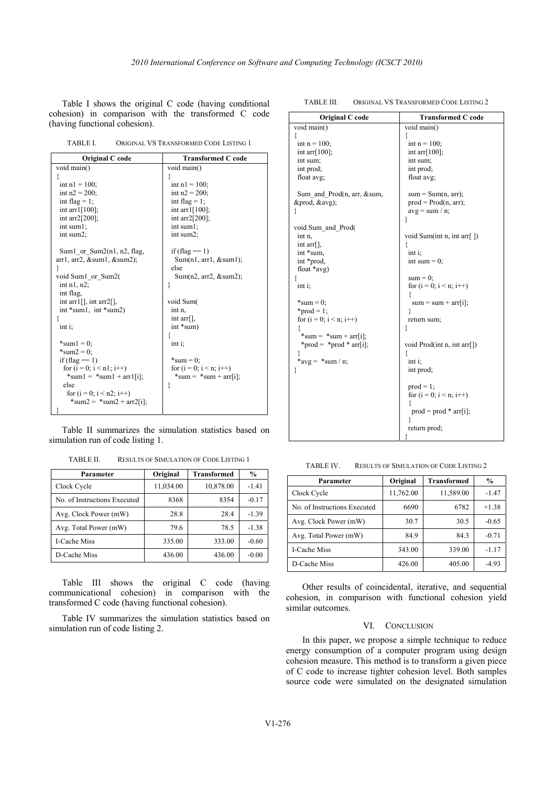Table I shows the original C code (having conditional cohesion) in comparison with the transformed C code (having functional cohesion).

| TABLE I. | ORIGINAL VS TRANSFORMED CODE LISTING 1 |  |
|----------|----------------------------------------|--|
|          |                                        |  |

| Original C code                 | <b>Transformed C code</b> |  |  |
|---------------------------------|---------------------------|--|--|
| void main()                     | void main()               |  |  |
|                                 |                           |  |  |
| int $nl = 100$ :                | int $nl = 100$ :          |  |  |
| int $n2 = 200$ ;                | int $n2 = 200$ ;          |  |  |
| int flag = $1$ ;                | int flag = $1$ ;          |  |  |
| int arr $1[100]$ ;              | int arr $1[100]$ ;        |  |  |
| int arr $2[200]$ ;              | int arr $2[200]$ ;        |  |  |
| int sum1;                       | int sum1;                 |  |  |
| int sum2;                       | int sum2;                 |  |  |
|                                 |                           |  |  |
| Sum1 or $Sum2(n1, n2, flag)$    | if $(\text{flag} == 1)$   |  |  |
| arr1, arr2, & sum1, & sum2);    | Sum(n1, arr1, & sum1);    |  |  |
|                                 | else                      |  |  |
| void Sum1 or Sum2(              | Sum(n2, arr2, & sum2);    |  |  |
| int $n1, n2$ ;                  | ₹                         |  |  |
| int flag,                       |                           |  |  |
| int arr1 $[$ ], int arr2 $[$ ], | void Sum                  |  |  |
| int $*sum1$ , int $*sum2$ )     | int n,                    |  |  |
| ſ                               | int $arr[]$ ,             |  |  |
| int i                           | $int$ *sum)               |  |  |
|                                 |                           |  |  |
| $*sum1 = 0$ :                   | $int$ i:                  |  |  |
| *sum $2 = 0$ :                  |                           |  |  |
| if $(\text{flag} == 1)$         | $*sum = 0$ :              |  |  |
| for $(i = 0; i < n1; i++)$      | for $(i = 0; i < n; i++)$ |  |  |
| $*sum1 = *sum1 + arr1[i];$      | $*sum = *sum + arr[i];$   |  |  |
| else                            | ₹                         |  |  |
| for $(i = 0; i < n2; i++)$      |                           |  |  |
| $*sum2 = *sum2 + arr2[i];$      |                           |  |  |
|                                 |                           |  |  |

Table II summarizes the simulation statistics based on simulation run of code listing 1.

TABLE II. RESULTS OF SIMULATION OF CODE LISTING 1

| Parameter                    | Original  | <b>Transformed</b> | $\frac{6}{9}$ |
|------------------------------|-----------|--------------------|---------------|
| Clock Cycle                  | 11,034.00 | 10,878.00          | $-1.41$       |
| No. of Instructions Executed | 8368      | 8354               | $-0.17$       |
| Avg. Clock Power (mW)        | 28.8      | 28.4               | $-1.39$       |
| Avg. Total Power (mW)        | 79.6      | 78.5               | $-1.38$       |
| <b>I-Cache Miss</b>          | 335.00    | 333.00             | $-0.60$       |
| D-Cache Miss                 | 436.00    | 436.00             | $-0.00$       |

Table III shows the original C code (having communicational cohesion) in comparison with the transformed C code (having functional cohesion).

Table IV summarizes the simulation statistics based on simulation run of code listing 2.

| Original C code             | <b>Transformed C code</b>                    |  |  |
|-----------------------------|----------------------------------------------|--|--|
| void main()                 | void main()                                  |  |  |
|                             |                                              |  |  |
| int $n = 100$ ;             | int $n = 100$ ;                              |  |  |
| int arr $[100]$ ;           | int arr $[100]$ ;                            |  |  |
| int sum;                    | int sum;                                     |  |  |
| int prod;                   | int prod;                                    |  |  |
| float avg;                  | float avg;                                   |  |  |
|                             |                                              |  |  |
| Sum and Prod(n, arr, & sum, | $sum = Sum(n, arr);$                         |  |  |
| ∏, &avg);                   | $prod = Prod(n, arr);$                       |  |  |
|                             | $avg = sum / n$ ;                            |  |  |
|                             | ∤                                            |  |  |
| void Sum and Prod(          |                                              |  |  |
| int n,                      | void Sum(int n, int arr[ $)$ )               |  |  |
| int $\arctan$ ,             |                                              |  |  |
| int *sum,                   | $int i$ ;                                    |  |  |
| int *prod,                  | int sum $= 0$ ;                              |  |  |
| float $*$ avg)              |                                              |  |  |
|                             | $sum = 0$ ;                                  |  |  |
| $int i$ ;                   | for $(i = 0; i < n; i++)$                    |  |  |
|                             |                                              |  |  |
| $*sum = 0$ ;                | $sum = sum + arr[i];$                        |  |  |
| *prod = 1;                  |                                              |  |  |
| for $(i = 0; i < n; i++)$   | return sum;                                  |  |  |
|                             | ₹                                            |  |  |
| *sum = $*$ sum + arr[i];    |                                              |  |  |
| *prod = *prod * arr[i];     | void Prod(int n, int arr[])                  |  |  |
|                             |                                              |  |  |
| *avg = *sum / n;            | $int$ i:                                     |  |  |
|                             | int prod;                                    |  |  |
|                             |                                              |  |  |
|                             | $prod = 1$ ;                                 |  |  |
|                             | for $(i = 0; i < n; i++)$                    |  |  |
|                             | ł                                            |  |  |
|                             | $\text{prod} = \text{prod} * \text{arr}[i];$ |  |  |
|                             |                                              |  |  |
|                             | return prod;                                 |  |  |
|                             |                                              |  |  |

TABLE III. ORIGINAL VS TRANSFORMED CODE LISTING 2

TABLE IV. RESULTS OF SIMULATION OF CODE LISTING 2

| Parameter                    | Original  | <b>Transformed</b> | $\frac{6}{9}$ |
|------------------------------|-----------|--------------------|---------------|
| Clock Cycle                  | 11,762.00 | 11,589.00          | $-1.47$       |
| No. of Instructions Executed | 6690      | 6782               | $+1.38$       |
| Avg. Clock Power (mW)        | 30.7      | 30.5               | $-0.65$       |
| Avg. Total Power (mW)        | 84.9      | 84.3               | $-0.71$       |
| I-Cache Miss                 | 343.00    | 339.00             | $-1.17$       |
| D-Cache Miss                 | 426.00    | 405.00             | $-4.93$       |

Other results of coincidental, iterative, and sequential cohesion, in comparison with functional cohesion yield similar outcomes.

# VI. CONCLUSION

In this paper, we propose a simple technique to reduce energy consumption of a computer program using design cohesion measure. This method is to transform a given piece of C code to increase tighter cohesion level. Both samples source code were simulated on the designated simulation